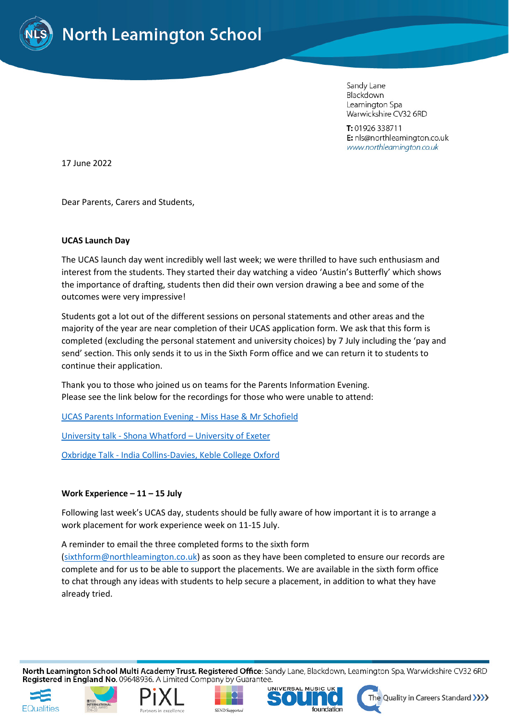

Sandy Lane Blackdown Leamington Spa Warwickshire CV32 6RD

T: 01926 338711 E: nls@northleamington.co.uk www.northleamington.co.uk

17 June 2022

Dear Parents, Carers and Students,

## **UCAS Launch Day**

The UCAS launch day went incredibly well last week; we were thrilled to have such enthusiasm and interest from the students. They started their day watching a video 'Austin's Butterfly' which shows the importance of drafting, students then did their own version drawing a bee and some of the outcomes were very impressive!

Students got a lot out of the different sessions on personal statements and other areas and the majority of the year are near completion of their UCAS application form. We ask that this form is completed (excluding the personal statement and university choices) by 7 July including the 'pay and send' section. This only sends it to us in the Sixth Form office and we can return it to students to continue their application.

Thank you to those who joined us on teams for the Parents Information Evening. Please see the link below for the recordings for those who were unable to attend:

[UCAS Parents Information Evening -](https://northleamingtonco-my.sharepoint.com/:v:/g/personal/rhase_northleamington_co_uk/EQvrPg8zjBtLvUjINKfDQ-EBXCTUzJMmsyS8Qx-0EoucCg?e=RLB3lk) Miss Hase & Mr Schofield

University talk - Shona Whatford – [University of Exeter](https://northleamingtonco-my.sharepoint.com/:v:/g/personal/rhase_northleamington_co_uk/Eb0PvcLqeYhIqWgerNKfrdABsuMCXVAnLnPEguxymh2Rww?e=qHqL7C)

Oxbridge Talk - [India Collins-Davies, Keble College Oxford](https://northleamingtonco-my.sharepoint.com/:v:/g/personal/rhase_northleamington_co_uk/EZmozK-aK_FBt0Ow38l-hJEBDNZX95riEfwiqyZJc24yHw?e=Opxx6J)

## **Work Experience – 11 – 15 July**

Following last week's UCAS day, students should be fully aware of how important it is to arrange a work placement for work experience week on 11-15 July.

A reminder to email the three completed forms to the sixth form [\(sixthform@northleamington.co.uk\)](mailto:sixthform@northleamington.co.uk) as soon as they have been completed to ensure our records are complete and for us to be able to support the placements. We are available in the sixth form office to chat through any ideas with students to help secure a placement, in addition to what they have already tried.

North Leamington School Multi Academy Trust. Registered Office: Sandy Lane, Blackdown, Leamington Spa, Warwickshire CV32 6RD Registered in England No. 09648936. A Limited Company by Guarantee.